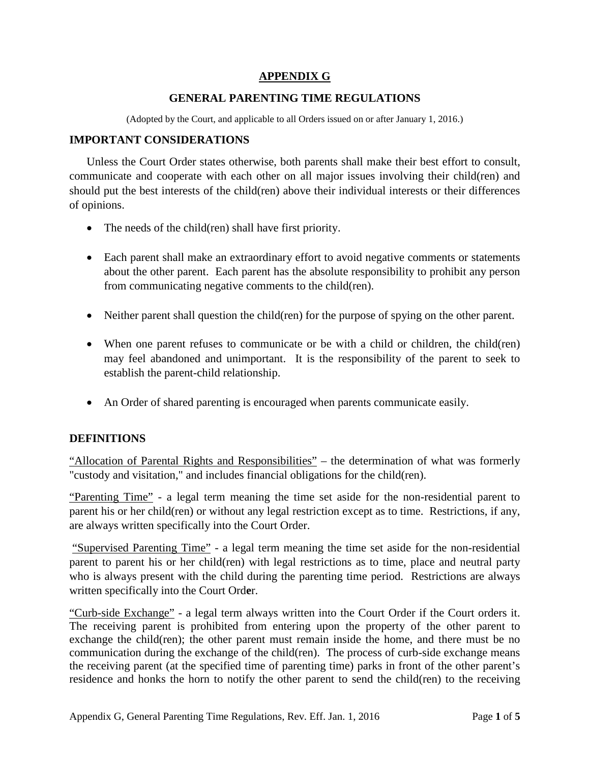## **APPENDIX G**

## **GENERAL PARENTING TIME REGULATIONS**

(Adopted by the Court, and applicable to all Orders issued on or after January 1, 2016.)

#### **IMPORTANT CONSIDERATIONS**

Unless the Court Order states otherwise, both parents shall make their best effort to consult, communicate and cooperate with each other on all major issues involving their child(ren) and should put the best interests of the child(ren) above their individual interests or their differences of opinions.

- The needs of the child(ren) shall have first priority.
- Each parent shall make an extraordinary effort to avoid negative comments or statements about the other parent. Each parent has the absolute responsibility to prohibit any person from communicating negative comments to the child(ren).
- Neither parent shall question the child(ren) for the purpose of spying on the other parent.
- When one parent refuses to communicate or be with a child or children, the child(ren) may feel abandoned and unimportant. It is the responsibility of the parent to seek to establish the parent-child relationship.
- An Order of shared parenting is encouraged when parents communicate easily.

#### **DEFINITIONS**

"Allocation of Parental Rights and Responsibilities" – the determination of what was formerly "custody and visitation," and includes financial obligations for the child(ren).

"Parenting Time" - a legal term meaning the time set aside for the non-residential parent to parent his or her child(ren) or without any legal restriction except as to time. Restrictions, if any, are always written specifically into the Court Order.

"Supervised Parenting Time" - a legal term meaning the time set aside for the non-residential parent to parent his or her child(ren) with legal restrictions as to time, place and neutral party who is always present with the child during the parenting time period. Restrictions are always written specifically into the Court Ord**e**r.

"Curb-side Exchange" - a legal term always written into the Court Order if the Court orders it. The receiving parent is prohibited from entering upon the property of the other parent to exchange the child(ren); the other parent must remain inside the home, and there must be no communication during the exchange of the child(ren). The process of curb-side exchange means the receiving parent (at the specified time of parenting time) parks in front of the other parent's residence and honks the horn to notify the other parent to send the child(ren) to the receiving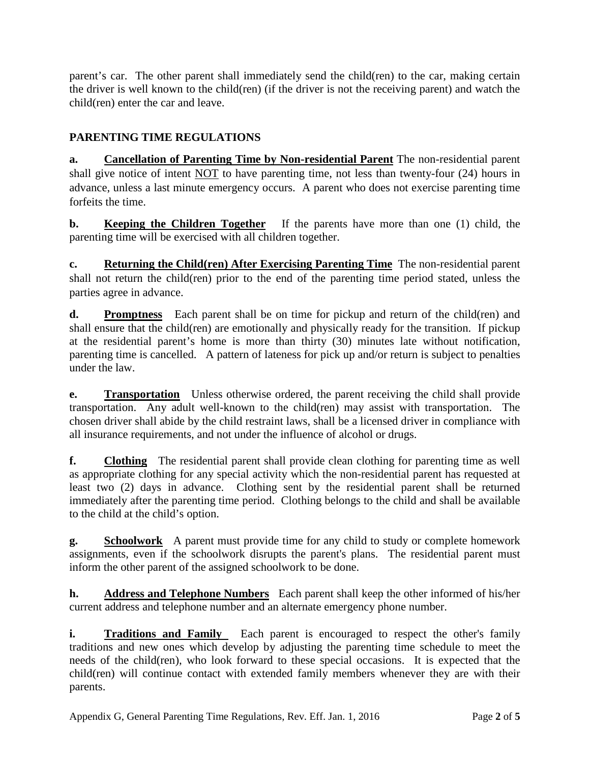parent's car. The other parent shall immediately send the child(ren) to the car, making certain the driver is well known to the child(ren) (if the driver is not the receiving parent) and watch the child(ren) enter the car and leave.

# **PARENTING TIME REGULATIONS**

**a. Cancellation of Parenting Time by Non-residential Parent** The non-residential parent shall give notice of intent NOT to have parenting time, not less than twenty-four (24) hours in advance, unless a last minute emergency occurs. A parent who does not exercise parenting time forfeits the time.

**b. Keeping the Children Together** If the parents have more than one (1) child, the parenting time will be exercised with all children together.

**c. Returning the Child(ren) After Exercising Parenting Time** The non-residential parent shall not return the child(ren) prior to the end of the parenting time period stated, unless the parties agree in advance.

**d. Promptness** Each parent shall be on time for pickup and return of the child(ren) and shall ensure that the child(ren) are emotionally and physically ready for the transition. If pickup at the residential parent's home is more than thirty (30) minutes late without notification, parenting time is cancelled. A pattern of lateness for pick up and/or return is subject to penalties under the law.

**e. Transportation** Unless otherwise ordered, the parent receiving the child shall provide transportation. Any adult well-known to the child(ren) may assist with transportation. The chosen driver shall abide by the child restraint laws, shall be a licensed driver in compliance with all insurance requirements, and not under the influence of alcohol or drugs.

**f. Clothing** The residential parent shall provide clean clothing for parenting time as well as appropriate clothing for any special activity which the non-residential parent has requested at least two (2) days in advance. Clothing sent by the residential parent shall be returned immediately after the parenting time period. Clothing belongs to the child and shall be available to the child at the child's option.

**g. Schoolwork** A parent must provide time for any child to study or complete homework assignments, even if the schoolwork disrupts the parent's plans. The residential parent must inform the other parent of the assigned schoolwork to be done.

**h. Address and Telephone Numbers** Each parent shall keep the other informed of his/her current address and telephone number and an alternate emergency phone number.

**i. Traditions and Family** Each parent is encouraged to respect the other's family traditions and new ones which develop by adjusting the parenting time schedule to meet the needs of the child(ren), who look forward to these special occasions. It is expected that the child(ren) will continue contact with extended family members whenever they are with their parents.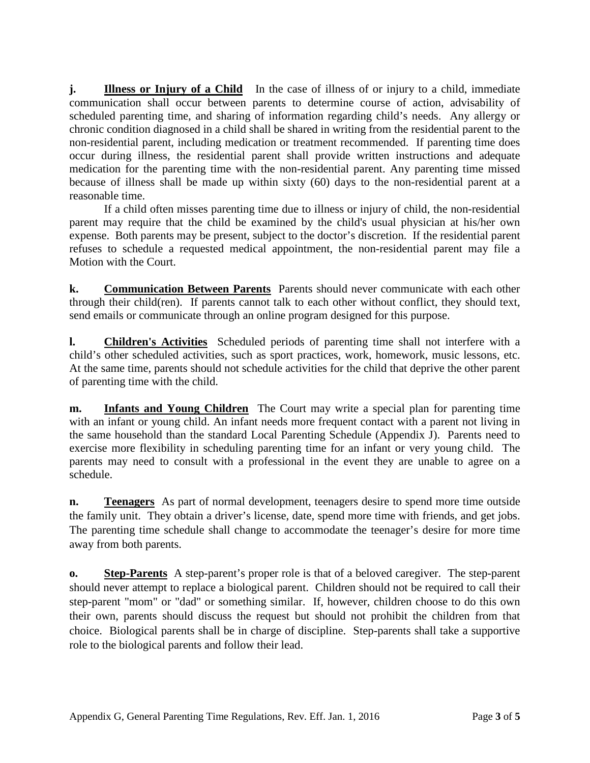**j.** Illness or Injury of a Child In the case of illness of or injury to a child, immediate communication shall occur between parents to determine course of action, advisability of scheduled parenting time, and sharing of information regarding child's needs. Any allergy or chronic condition diagnosed in a child shall be shared in writing from the residential parent to the non-residential parent, including medication or treatment recommended. If parenting time does occur during illness, the residential parent shall provide written instructions and adequate medication for the parenting time with the non-residential parent. Any parenting time missed because of illness shall be made up within sixty (60) days to the non-residential parent at a reasonable time.

If a child often misses parenting time due to illness or injury of child, the non-residential parent may require that the child be examined by the child's usual physician at his/her own expense. Both parents may be present, subject to the doctor's discretion. If the residential parent refuses to schedule a requested medical appointment, the non-residential parent may file a Motion with the Court.

**k. Communication Between Parents** Parents should never communicate with each other through their child(ren). If parents cannot talk to each other without conflict, they should text, send emails or communicate through an online program designed for this purpose.

**l. Children's Activities** Scheduled periods of parenting time shall not interfere with a child's other scheduled activities, such as sport practices, work, homework, music lessons, etc. At the same time, parents should not schedule activities for the child that deprive the other parent of parenting time with the child.

**m. Infants and Young Children** The Court may write a special plan for parenting time with an infant or young child. An infant needs more frequent contact with a parent not living in the same household than the standard Local Parenting Schedule (Appendix J). Parents need to exercise more flexibility in scheduling parenting time for an infant or very young child. The parents may need to consult with a professional in the event they are unable to agree on a schedule.

**n. Teenagers** As part of normal development, teenagers desire to spend more time outside the family unit. They obtain a driver's license, date, spend more time with friends, and get jobs. The parenting time schedule shall change to accommodate the teenager's desire for more time away from both parents.

**o. Step-Parents** A step-parent's proper role is that of a beloved caregiver. The step-parent should never attempt to replace a biological parent. Children should not be required to call their step-parent "mom" or "dad" or something similar. If, however, children choose to do this own their own, parents should discuss the request but should not prohibit the children from that choice. Biological parents shall be in charge of discipline. Step-parents shall take a supportive role to the biological parents and follow their lead.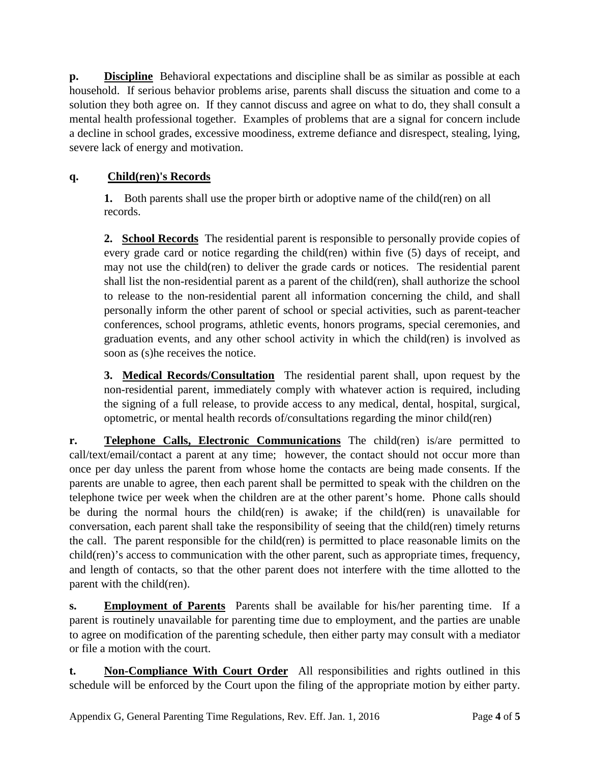**p. Discipline** Behavioral expectations and discipline shall be as similar as possible at each household. If serious behavior problems arise, parents shall discuss the situation and come to a solution they both agree on. If they cannot discuss and agree on what to do, they shall consult a mental health professional together. Examples of problems that are a signal for concern include a decline in school grades, excessive moodiness, extreme defiance and disrespect, stealing, lying, severe lack of energy and motivation.

## **q. Child(ren)'s Records**

**1.** Both parents shall use the proper birth or adoptive name of the child(ren) on all records.

**2. School Records** The residential parent is responsible to personally provide copies of every grade card or notice regarding the child(ren) within five (5) days of receipt, and may not use the child(ren) to deliver the grade cards or notices. The residential parent shall list the non-residential parent as a parent of the child(ren), shall authorize the school to release to the non-residential parent all information concerning the child, and shall personally inform the other parent of school or special activities, such as parent-teacher conferences, school programs, athletic events, honors programs, special ceremonies, and graduation events, and any other school activity in which the child(ren) is involved as soon as (s)he receives the notice.

**3. Medical Records/Consultation** The residential parent shall, upon request by the non-residential parent, immediately comply with whatever action is required, including the signing of a full release, to provide access to any medical, dental, hospital, surgical, optometric, or mental health records of/consultations regarding the minor child(ren)

**r. Telephone Calls, Electronic Communications** The child(ren) is/are permitted to call/text/email/contact a parent at any time; however, the contact should not occur more than once per day unless the parent from whose home the contacts are being made consents. If the parents are unable to agree, then each parent shall be permitted to speak with the children on the telephone twice per week when the children are at the other parent's home. Phone calls should be during the normal hours the child(ren) is awake; if the child(ren) is unavailable for conversation, each parent shall take the responsibility of seeing that the child(ren) timely returns the call. The parent responsible for the child(ren) is permitted to place reasonable limits on the child(ren)'s access to communication with the other parent, such as appropriate times, frequency, and length of contacts, so that the other parent does not interfere with the time allotted to the parent with the child(ren).

**s. Employment of Parents** Parents shall be available for his/her parenting time. If a parent is routinely unavailable for parenting time due to employment, and the parties are unable to agree on modification of the parenting schedule, then either party may consult with a mediator or file a motion with the court.

**t. Non-Compliance With Court Order** All responsibilities and rights outlined in this schedule will be enforced by the Court upon the filing of the appropriate motion by either party.